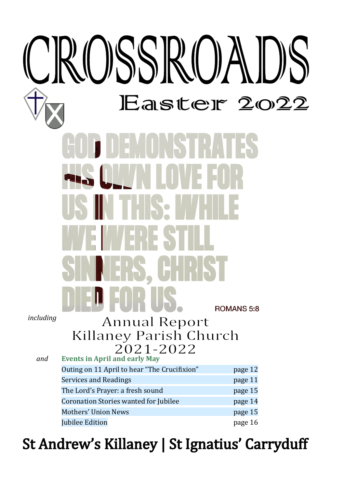|           |                                                                  | Easter 2022        |
|-----------|------------------------------------------------------------------|--------------------|
|           |                                                                  |                    |
|           |                                                                  |                    |
|           |                                                                  |                    |
|           |                                                                  | <b>ROMANS 5:8</b>  |
| including | <b>Annual Report</b><br>Killaney Parish Church<br>2021-2022      |                    |
| and       | <b>Events in April and early May</b>                             |                    |
|           | Outing on 11 April to hear "The Crucifixion"                     | page 12            |
|           | <b>Services and Readings</b><br>The Lord's Prayer: a fresh sound | page 11<br>page 15 |
|           | Coronation Stories wanted for Jubilee                            | page 14            |
|           | Mothers' Union News                                              | page 15            |
|           | Jubilee Edition                                                  | page 16            |
|           |                                                                  |                    |

[St Andrew's Killaney | St Ignatius' Carryduff](https://carryduff-killaney.down.anglican.org)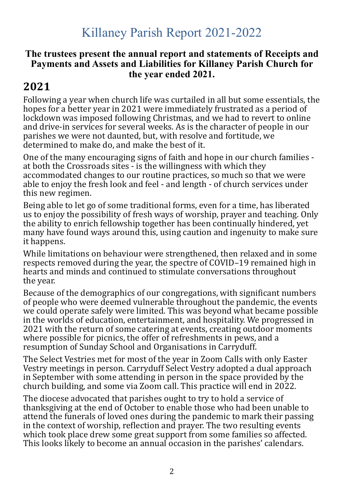# Killaney Parish Report 2021-2022

#### **The trustees present the annual report and statements of Receipts and Payments and Assets and Liabilities for Killaney Parish Church for the year ended 2021.**

## **2021**

Following a year when church life was curtailed in all but some essentials, the hopes for a better year in 2021 were immediately frustrated as a period of lockdown was imposed following Christmas, and we had to revert to online and drive-in services for several weeks. As is the character of people in our parishes we were not daunted, but, with resolve and fortitude, we determined to make do, and make the best of it.

One of the many encouraging signs of faith and hope in our church families at both the Crossroads sites - is the willingness with which they accommodated changes to our routine practices, so much so that we were able to enjoy the fresh look and feel - and length - of church services under this new regimen.

Being able to let go of some traditional forms, even for a time, has liberated us to enjoy the possibility of fresh ways of worship, prayer and teaching. Only the ability to enrich fellowship together has been continually hindered, yet many have found ways around this, using caution and ingenuity to make sure it happens.

While limitations on behaviour were strengthened, then relaxed and in some respects removed during the year, the spectre of COVID–19 remained high in hearts and minds and continued to stimulate conversations throughout the year.

Because of the demographics of our congregations, with significant numbers of people who were deemed vulnerable throughout the pandemic, the events we could operate safely were limited. This was beyond what became possible in the worlds of education, entertainment, and hospitality. We progressed in 2021 with the return of some catering at events, creating outdoor moments where possible for picnics, the offer of refreshments in pews, and a resumption of Sunday School and Organisations in Carryduff.

The Select Vestries met for most of the year in Zoom Calls with only Easter Vestry meetings in person. Carryduff Select Vestry adopted a dual approach in September with some attending in person in the space provided by the church building, and some via Zoom call. This practice will end in 2022.

The diocese advocated that parishes ought to try to hold a service of thanksgiving at the end of October to enable those who had been unable to attend the funerals of loved ones during the pandemic to mark their passing in the context of worship, reflection and prayer. The two resulting events which took place drew some great support from some families so affected. This looks likely to become an annual occasion in the parishes' calendars.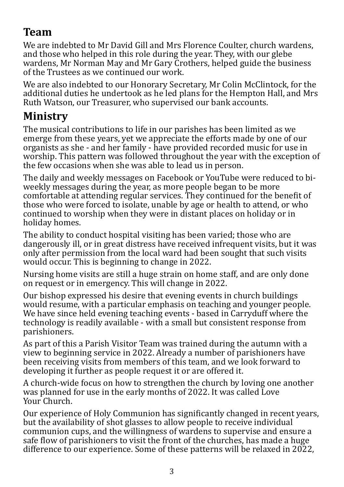# **Team**

We are indebted to Mr David Gill and Mrs Florence Coulter, church wardens, and those who helped in this role during the year. They, with our glebe wardens, Mr Norman May and Mr Gary Crothers, helped guide the business of the Trustees as we continued our work.

We are also indebted to our Honorary Secretary, Mr Colin McClintock, for the additional duties he undertook as he led plans for the Hempton Hall, and Mrs Ruth Watson, our Treasurer, who supervised our bank accounts.

## **Ministry**

The musical contributions to life in our parishes has been limited as we emerge from these years, yet we appreciate the efforts made by one of our organists as she - and her family - have provided recorded music for use in worship. This pattern was followed throughout the year with the exception of the few occasions when she was able to lead us in person.

The daily and weekly messages on Facebook or YouTube were reduced to biweekly messages during the year, as more people began to be more comfortable at attending regular services. They continued for the bene�it of those who were forced to isolate, unable by age or health to attend, or who continued to worship when they were in distant places on holiday or in holiday homes.

The ability to conduct hospital visiting has been varied; those who are dangerously ill, or in great distress have received infrequent visits, but it was only after permission from the local ward had been sought that such visits would occur. This is beginning to change in 2022.

Nursing home visits are still a huge strain on home staff, and are only done on request or in emergency. This will change in 2022.

Our bishop expressed his desire that evening events in church buildings would resume, with a particular emphasis on teaching and younger people. We have since held evening teaching events - based in Carryduff where the technology is readily available - with a small but consistent response from parishioners.

As part of this a Parish Visitor Team was trained during the autumn with a view to beginning service in 2022. Already a number of parishioners have been receiving visits from members of this team, and we look forward to developing it further as people request it or are offered it.

A church-wide focus on how to strengthen the church by loving one another was planned for use in the early months of 2022. It was called Love Your Church.

Our experience of Holy Communion has signi�icantly changed in recent years, but the availability of shot glasses to allow people to receive individual communion cups, and the willingness of wardens to supervise and ensure a safe flow of parishioners to visit the front of the churches, has made a huge difference to our experience. Some of these patterns will be relaxed in 2022,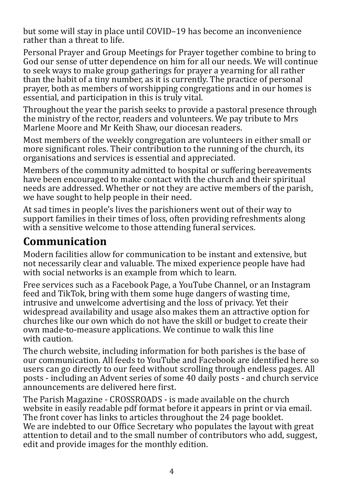but some will stay in place until COVID–19 has become an inconvenience rather than a threat to life.

Personal Prayer and Group Meetings for Prayer together combine to bring to God our sense of utter dependence on him for all our needs. We will continue to seek ways to make group gatherings for prayer a yearning for all rather than the habit of a tiny number, as it is currently. The practice of personal prayer, both as members of worshipping congregations and in our homes is essential, and participation in this is truly vital.

Throughout the year the parish seeks to provide a pastoral presence through the ministry of the rector, readers and volunteers. We pay tribute to Mrs Marlene Moore and Mr Keith Shaw, our diocesan readers.

Most members of the weekly congregation are volunteers in either small or more significant roles. Their contribution to the running of the church, its organisations and services is essential and appreciated.

Members of the community admitted to hospital or suffering bereavements have been encouraged to make contact with the church and their spiritual needs are addressed. Whether or not they are active members of the parish, we have sought to help people in their need.

At sad times in people's lives the parishioners went out of their way to support families in their times of loss, often providing refreshments along with a sensitive welcome to those attending funeral services.

## **Communication**

Modern facilities allow for communication to be instant and extensive, but not necessarily clear and valuable. The mixed experience people have had with social networks is an example from which to learn.

Free services such as a Facebook Page, a YouTube Channel, or an Instagram feed and TikTok, bring with them some huge dangers of wasting time, intrusive and unwelcome advertising and the loss of privacy. Yet their widespread availability and usage also makes them an attractive option for churches like our own which do not have the skill or budget to create their own made-to-measure applications. We continue to walk this line with caution.

The church website, including information for both parishes is the base of our communication. All feeds to YouTube and Facebook are identi�ied here so users can go directly to our feed without scrolling through endless pages. All posts - including an Advent series of some 40 daily posts - and church service announcements are delivered here first.

The Parish Magazine - CROSSROADS - is made available on the church website in easily readable pdf format before it appears in print or via email. The front cover has links to articles throughout the 24 page booklet. We are indebted to our Office Secretary who populates the layout with great attention to detail and to the small number of contributors who add, suggest, edit and provide images for the monthly edition.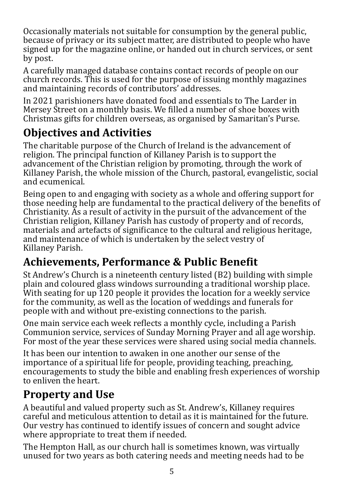Occasionally materials not suitable for consumption by the general public, because of privacy or its subject matter, are distributed to people who have signed up for the magazine online, or handed out in church services, or sent by post.

A carefully managed database contains contact records of people on our church records. This is used for the purpose of issuing monthly magazines and maintaining records of contributors' addresses.

In 2021 parishioners have donated food and essentials to The Larder in Mersey Street on a monthly basis. We filled a number of shoe boxes with Christmas gifts for children overseas, as organised by Samaritan's Purse.

# **Objectives and Activities**

The charitable purpose of the Church of Ireland is the advancement of religion. The principal function of Killaney Parish is to support the advancement of the Christian religion by promoting, through the work of Killaney Parish, the whole mission of the Church, pastoral, evangelistic, social and ecumenical.

Being open to and engaging with society as a whole and offering support for those needing help are fundamental to the practical delivery of the bene�its of Christianity. As a result of activity in the pursuit of the advancement of the Christian religion, Killaney Parish has custody of property and of records, materials and artefacts of significance to the cultural and religious heritage, and maintenance of which is undertaken by the select vestry of Killaney Parish.

## **Achievements, Performance & Public Bene�it**

St Andrew's Church is a nineteenth century listed (B2) building with simple plain and coloured glass windows surrounding a traditional worship place. With seating for up 120 people it provides the location for a weekly service for the community, as well as the location of weddings and funerals for people with and without pre-existing connections to the parish.

One main service each week reflects a monthly cycle, including a Parish Communion service, services of Sunday Morning Prayer and all age worship. For most of the year these services were shared using social media channels.

It has been our intention to awaken in one another our sense of the importance of a spiritual life for people, providing teaching, preaching, encouragements to study the bible and enabling fresh experiences of worship to enliven the heart.

## **Property and Use**

A beautiful and valued property such as St. Andrew's, Killaney requires careful and meticulous attention to detail as it is maintained for the future. Our vestry has continued to identify issues of concern and sought advice where appropriate to treat them if needed.

The Hempton Hall, as our church hall is sometimes known, was virtually unused for two years as both catering needs and meeting needs had to be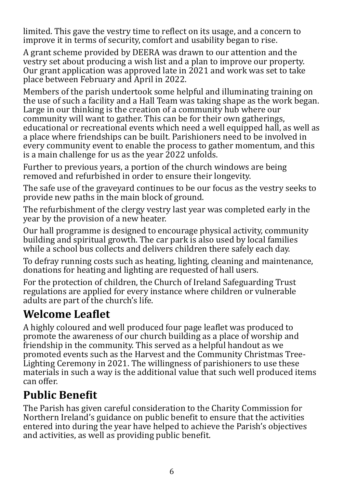limited. This gave the vestry time to re�lect on its usage, and a concern to improve it in terms of security, comfort and usability began to rise.

A grant scheme provided by DEERA was drawn to our attention and the vestry set about producing a wish list and a plan to improve our property. Our grant application was approved late in 2021 and work was set to take place between February and April in 2022.

Members of the parish undertook some helpful and illuminating training on the use of such a facility and a Hall Team was taking shape as the work began. Large in our thinking is the creation of a community hub where our community will want to gather. This can be for their own gatherings, educational or recreational events which need a well equipped hall, as well as a place where friendships can be built. Parishioners need to be involved in every community event to enable the process to gather momentum, and this is a main challenge for us as the year 2022 unfolds.

Further to previous years, a portion of the church windows are being removed and refurbished in order to ensure their longevity.

The safe use of the graveyard continues to be our focus as the vestry seeks to provide new paths in the main block of ground.

The refurbishment of the clergy vestry last year was completed early in the year by the provision of a new heater.

Our hall programme is designed to encourage physical activity, community building and spiritual growth. The car park is also used by local families while a school bus collects and delivers children there safely each day.

To defray running costs such as heating, lighting, cleaning and maintenance, donations for heating and lighting are requested of hall users.

For the protection of children, the Church of Ireland Safeguarding Trust regulations are applied for every instance where children or vulnerable adults are part of the church's life.

## **Welcome Lea�let**

A highly coloured and well produced four page leaflet was produced to promote the awareness of our church building as a place of worship and friendship in the community. This served as a helpful handout as we promoted events such as the Harvest and the Community Christmas Tree-Lighting Ceremony in 2021. The willingness of parishioners to use these materials in such a way is the additional value that such well produced items can offer.

# **Public Bene�it**

The Parish has given careful consideration to the Charity Commission for Northern Ireland's guidance on public benefit to ensure that the activities entered into during the year have helped to achieve the Parish's objectives and activities, as well as providing public benefit.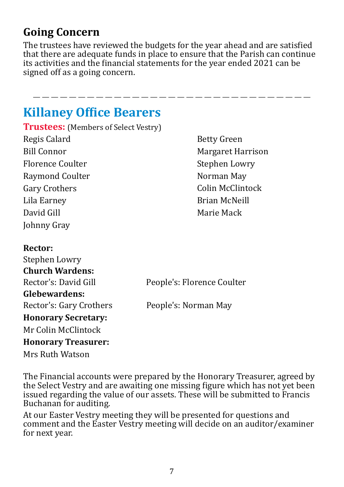## **Going Concern**

The trustees have reviewed the budgets for the year ahead and are satisfied that there are adequate funds in place to ensure that the Parish can continue its activities and the financial statements for the year ended 2021 can be signed off as a going concern.

———————————————————————————————

# **Killaney Office Bearers**

**Trustees:** (Members of Select Vestry) Regis Calard Bill Connor Florence Coulter Raymond Coulter Gary Crothers Lila Earney David Gill Johnny Gray

Betty Green Margaret Harrison Stephen Lowry Norman May Colin McClintock Brian McNeill Marie Mack

#### **Rector:**

| Stephen Lowry              |                            |
|----------------------------|----------------------------|
| <b>Church Wardens:</b>     |                            |
| Rector's: David Gill       | People's: Florence Coulter |
| Glebewardens:              |                            |
| Rector's: Gary Crothers    | People's: Norman May       |
| <b>Honorary Secretary:</b> |                            |
| Mr Colin McClintock        |                            |
| <b>Honorary Treasurer:</b> |                            |

Mrs Ruth Watson

The Financial accounts were prepared by the Honorary Treasurer, agreed by the Select Vestry and are awaiting one missing figure which has not yet been issued regarding the value of our assets. These will be submitted to Francis Buchanan for auditing.

At our Easter Vestry meeting they will be presented for questions and comment and the Easter Vestry meeting will decide on an auditor/examiner for next year.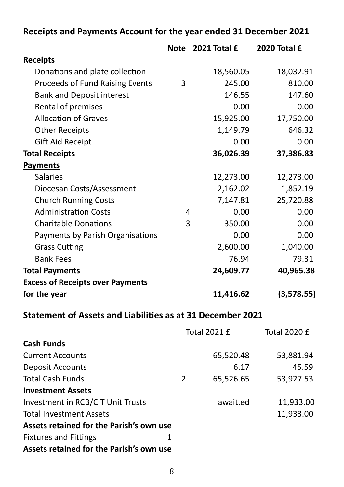#### **Receipts and Payments Account for the year ended 31 December 2021**

|                                                            | <b>Note</b>    | 2021 Total £ | 2020 Total £ |
|------------------------------------------------------------|----------------|--------------|--------------|
| <b>Receipts</b>                                            |                |              |              |
| Donations and plate collection                             |                | 18,560.05    | 18,032.91    |
| Proceeds of Fund Raising Events                            | 3              | 245.00       | 810.00       |
| <b>Bank and Deposit interest</b>                           |                | 146.55       | 147.60       |
| Rental of premises                                         |                | 0.00         | 0.00         |
| <b>Allocation of Graves</b>                                |                | 15,925.00    | 17,750.00    |
| <b>Other Receipts</b>                                      |                | 1,149.79     | 646.32       |
| <b>Gift Aid Receipt</b>                                    |                | 0.00         | 0.00         |
| <b>Total Receipts</b>                                      |                | 36,026.39    | 37,386.83    |
| <b>Payments</b>                                            |                |              |              |
| <b>Salaries</b>                                            |                | 12,273.00    | 12,273.00    |
| Diocesan Costs/Assessment                                  |                | 2,162.02     | 1,852.19     |
| <b>Church Running Costs</b>                                |                | 7,147.81     | 25,720.88    |
| <b>Administration Costs</b>                                | 4              | 0.00         | 0.00         |
| <b>Charitable Donations</b>                                | 3              | 350.00       | 0.00         |
| Payments by Parish Organisations                           |                | 0.00         | 0.00         |
| <b>Grass Cutting</b>                                       |                | 2,600.00     | 1,040.00     |
| <b>Bank Fees</b>                                           |                | 76.94        | 79.31        |
| <b>Total Payments</b>                                      |                | 24,609.77    | 40,965.38    |
| <b>Excess of Receipts over Payments</b>                    |                |              |              |
| for the year                                               |                | 11,416.62    | (3,578.55)   |
| Statement of Assets and Liabilities as at 31 December 2021 |                |              |              |
|                                                            |                | Total 2021 £ | Total 2020 £ |
| <b>Cash Funds</b>                                          |                |              |              |
| <b>Current Accounts</b>                                    |                | 65,520.48    | 53,881.94    |
| <b>Deposit Accounts</b>                                    |                | 6.17         | 45.59        |
| <b>Total Cash Funds</b>                                    | $\overline{2}$ | 65,526.65    | 53,927.53    |
| <b>Investment Assets</b>                                   |                |              |              |
| Investment in RCB/CIT Unit Trusts                          |                | await.ed     | 11,933.00    |
| <b>Total Investment Assets</b>                             |                |              | 11,933.00    |
| Assets retained for the Parish's own use                   |                |              |              |
| <b>Fixtures and Fittings</b>                               | 1              |              |              |
| Assets retained for the Parish's own use                   |                |              |              |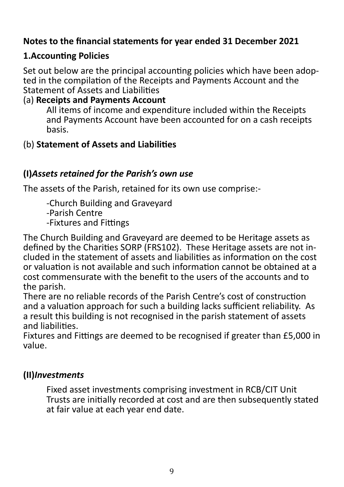#### **Notes to the financial statements for year ended 31 December 2021**

#### **1.Accounting Policies**

Set out below are the principal accounting policies which have been adopted in the compilation of the Receipts and Payments Account and the Statement of Assets and Liabilities

#### (a) **Receipts and Payments Account**

All items of income and expenditure included within the Receipts and Payments Account have been accounted for on a cash receipts basis.

#### (b) **Statement of Assets and Liabili�es**

#### **(I)***Assets retained for the Parish's own use*

The assets of the Parish, retained for its own use comprise:-

-Church Building and Graveyard

-Parish Centre

-Fixtures and Fittings

The Church Building and Graveyard are deemed to be Heritage assets as defined by the Charities SORP (FRS102). These Heritage assets are not included in the statement of assets and liabilities as information on the cost or valuation is not available and such information cannot be obtained at a cost commensurate with the benefit to the users of the accounts and to the parish.

There are no reliable records of the Parish Centre's cost of construc�on and a valuation approach for such a building lacks sufficient reliability. As a result this building is not recognised in the parish statement of assets and liabili�es.

Fixtures and Fittings are deemed to be recognised if greater than £5,000 in value.

#### **(II)***Investments*

Fixed asset investments comprising investment in RCB/CIT Unit Trusts are initially recorded at cost and are then subsequently stated at fair value at each year end date.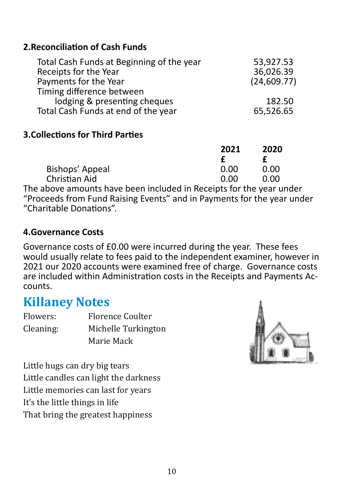#### **2. Reconciliation of Cash Funds**

| Total Cash Funds at Beginning of the year | 53,927.53    |
|-------------------------------------------|--------------|
| Receipts for the Year                     | 36,026.39    |
| Payments for the Year                     | (24, 609.77) |
| Timing difference between                 |              |
| lodging & presenting cheques              | 182.50       |
| Total Cash Funds at end of the year       | 65,526.65    |

#### **3. Collections for Third Parties**

|                 | 2021 | 2020 |  |
|-----------------|------|------|--|
|                 |      |      |  |
| Bishops' Appeal | 0.00 | 0.00 |  |
| Christian Aid   | 0.00 | 0.00 |  |

The above amounts have been included in Receipts for the year under "Proceeds from Fund Raising Events" and in Payments for the year under "Charitable Donations".

#### **4.Governance Costs**

Governance costs of £0.00 were incurred during the year. These fees would usually relate to fees paid to the independent examiner, however in 2021 our 2020 accounts were examined free of charge. Governance costs are included within Administration costs in the Receipts and Payments Accounts.

## **Killaney Notes**

| Flowers:  | Florence Coulter    |
|-----------|---------------------|
| Cleaning: | Michelle Turkington |
|           | Marie Mack          |



Little hugs can dry big tears Little candles can light the darkness Little memories can last for years It's the little things in life That bring the greatest happiness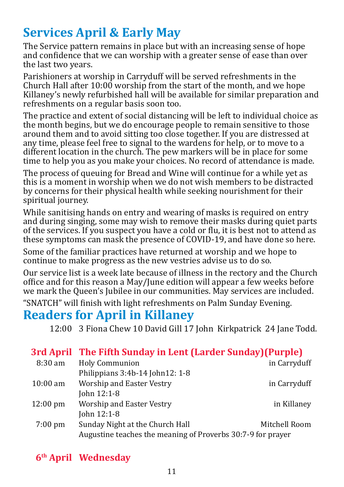# <span id="page-10-0"></span>**Services April & Early May**

The Service pattern remains in place but with an increasing sense of hope and con�idence that we can worship with a greater sense of ease than over the last two years.

Parishioners at worship in Carryduff will be served refreshments in the Church Hall after 10:00 worship from the start of the month, and we hope Killaney's newly refurbished hall will be available for similar preparation and refreshments on a regular basis soon too.

The practice and extent of social distancing will be left to individual choice as the month begins, but we do encourage people to remain sensitive to those around them and to avoid sitting too close together. If you are distressed at any time, please feel free to signal to the wardens for help, or to move to a different location in the church. The pew markers will be in place for some time to help you as you make your choices. No record of attendance is made.

The process of queuing for Bread and Wine will continue for a while yet as this is a moment in worship when we do not wish members to be distracted by concerns for their physical health while seeking nourishment for their spiritual journey.

While sanitising hands on entry and wearing of masks is required on entry and during singing, some may wish to remove their masks during quiet parts of the services. If you suspect you have a cold or flu, it is best not to attend as these symptoms can mask the presence of COVID-19, and have done so here.

Some of the familiar practices have returned at worship and we hope to continue to make progress as the new vestries advise us to do so.

Our service list is a week late because of illness in the rectory and the Church of�ice and for this reason a May/June edition will appear a few weeks before we mark the Queen's Jubilee in our communities. May services are included.

"SNATCH" will �inish with light refreshments on Palm Sunday Evening.

## **Readers for April in Killaney**

<span id="page-10-1"></span>12:00 3 Fiona Chew 10 David Gill 17 John Kirkpatrick 24 Jane Todd.

|                                                             | 3rd April The Fifth Sunday in Lent (Larder Sunday) (Purple) |               |  |
|-------------------------------------------------------------|-------------------------------------------------------------|---------------|--|
| $8:30$ am                                                   | <b>Holy Communion</b>                                       | in Carryduff  |  |
|                                                             | Philippians 3:4b-14 John 12: 1-8                            |               |  |
| $10:00$ am                                                  | Worship and Easter Vestry                                   | in Carryduff  |  |
|                                                             | John $12:1-8$                                               |               |  |
| $12:00 \text{ pm}$                                          | Worship and Easter Vestry                                   | in Killaney   |  |
|                                                             | John $12:1-8$                                               |               |  |
| $7:00 \text{ pm}$                                           | Sunday Night at the Church Hall                             | Mitchell Room |  |
| Augustine teaches the meaning of Proverbs 30:7-9 for prayer |                                                             |               |  |

#### **6 th April Wednesday**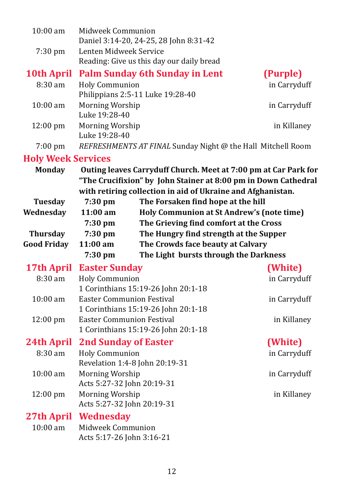<span id="page-11-0"></span>

| $10:00$ am                | Midweek Communion                |                                                                 |              |
|---------------------------|----------------------------------|-----------------------------------------------------------------|--------------|
|                           |                                  | Daniel 3:14-20, 24-25, 28 John 8:31-42                          |              |
| 7:30 pm                   | Lenten Midweek Service           |                                                                 |              |
|                           |                                  | Reading: Give us this day our daily bread                       |              |
| 10th April                |                                  | <b>Palm Sunday 6th Sunday in Lent</b>                           | (Purple)     |
| $8:30 \text{ am}$         | <b>Holy Communion</b>            |                                                                 | in Carryduff |
|                           |                                  | Philippians 2:5-11 Luke 19:28-40                                |              |
| $10:00 \text{ am}$        | Morning Worship                  |                                                                 | in Carryduff |
|                           | Luke 19:28-40                    |                                                                 |              |
| 12:00 pm                  | Morning Worship                  |                                                                 | in Killaney  |
|                           | Luke 19:28-40                    |                                                                 |              |
| $7:00$ pm                 |                                  | REFRESHMENTS AT FINAL Sunday Night @ the Hall Mitchell Room     |              |
| <b>Holy Week Services</b> |                                  |                                                                 |              |
| <b>Monday</b>             |                                  | Outing leaves Carryduff Church. Meet at 7:00 pm at Car Park for |              |
|                           |                                  | "The Crucifixion" by John Stainer at 8:00 pm in Down Cathedral  |              |
|                           |                                  | with retiring collection in aid of Ukraine and Afghanistan.     |              |
| <b>Tuesday</b>            | 7:30 pm                          | The Forsaken find hope at the hill                              |              |
| Wednesday                 | 11:00 am                         | Holy Communion at St Andrew's (note time)                       |              |
|                           | 7:30 pm                          | The Grieving find comfort at the Cross                          |              |
| <b>Thursday</b>           | 7:30 pm                          | The Hungry find strength at the Supper                          |              |
| <b>Good Friday</b>        | 11:00 am                         | The Crowds face beauty at Calvary                               |              |
|                           | 7:30 pm                          | The Light bursts through the Darkness                           |              |
| 17th April                | <b>Easter Sunday</b>             |                                                                 | (White)      |
| $8:30 \text{ am}$         | Holy Communion                   |                                                                 | in Carryduff |
|                           |                                  | 1 Corinthians 15:19-26 John 20:1-18                             |              |
| $10:00$ am                | <b>Easter Communion Festival</b> |                                                                 | in Carryduff |
|                           |                                  | 1 Corinthians 15:19-26 John 20:1-18                             |              |
| 12:00 pm                  | <b>Easter Communion Festival</b> |                                                                 | in Killaney  |
|                           |                                  | 1 Corinthians 15:19-26 John 20:1-18                             |              |
| 24th April                | <b>2nd Sunday of Easter</b>      |                                                                 | (White)      |
| 8:30 am                   | <b>Holy Communion</b>            |                                                                 | in Carryduff |
|                           |                                  | Revelation 1:4-8 John 20:19-31                                  |              |
| $10:00 \text{ am}$        | Morning Worship                  |                                                                 | in Carryduff |
|                           | Acts 5:27-32 John 20:19-31       |                                                                 |              |
| 12:00 pm                  | Morning Worship                  |                                                                 | in Killaney  |
|                           | Acts 5:27-32 John 20:19-31       |                                                                 |              |
| 27th April                | <b>Wednesday</b>                 |                                                                 |              |
| 10:00 am                  | Midweek Communion                |                                                                 |              |
|                           | Acts 5:17-26 John 3:16-21        |                                                                 |              |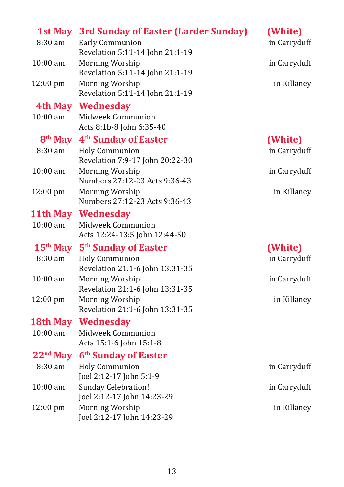| <b>1st May</b>      | <b>3rd Sunday of Easter (Larder Sunday)</b>               | (White)      |
|---------------------|-----------------------------------------------------------|--------------|
| 8:30 am             | <b>Early Communion</b><br>Revelation 5:11-14 John 21:1-19 | in Carryduff |
| $10:00$ am          | Morning Worship<br>Revelation 5:11-14 John 21:1-19        | in Carryduff |
| 12:00 pm            | Morning Worship<br>Revelation 5:11-14 John 21:1-19        | in Killaney  |
| <b>4th May</b>      | Wednesday                                                 |              |
| 10:00 am            | Midweek Communion<br>Acts 8:1b-8 John 6:35-40             |              |
| 8 <sup>th</sup> May | 4 <sup>th</sup> Sunday of Easter                          | (White)      |
| 8:30 am             | <b>Holy Communion</b><br>Revelation 7:9-17 John 20:22-30  | in Carryduff |
| $10:00 \text{ am}$  | Morning Worship<br>Numbers 27:12-23 Acts 9:36-43          | in Carryduff |
| 12:00 pm            | Morning Worship<br>Numbers 27:12-23 Acts 9:36-43          | in Killaney  |
| 11th May            | <b>Wednesday</b>                                          |              |
| $10:00$ am          | Midweek Communion<br>Acts 12:24-13:5 John 12:44-50        |              |
| $15th$ May          | 5 <sup>th</sup> Sunday of Easter                          | (White)      |
| 8:30 am             | <b>Holy Communion</b><br>Revelation 21:1-6 John 13:31-35  | in Carryduff |
| $10:00$ am          | Morning Worship<br>Revelation 21:1-6 John 13:31-35        | in Carryduff |
| 12:00 pm            | Morning Worship<br>Revelation 21:1-6 John 13:31-35        | in Killaney  |
| 18th May            | <b>Wednesday</b>                                          |              |
| 10:00 am            | Midweek Communion<br>Acts 15:1-6 John 15:1-8              |              |
| $22nd$ May          | 6 <sup>th</sup> Sunday of Easter                          |              |
| 8:30 am             | <b>Holy Communion</b><br>Joel 2:12-17 John 5:1-9          | in Carryduff |
| 10:00 am            | Sunday Celebration!                                       | in Carryduff |
|                     | Joel 2:12-17 John 14:23-29                                |              |
| 12:00 pm            | Morning Worship<br>Joel 2:12-17 John 14:23-29             | in Killaney  |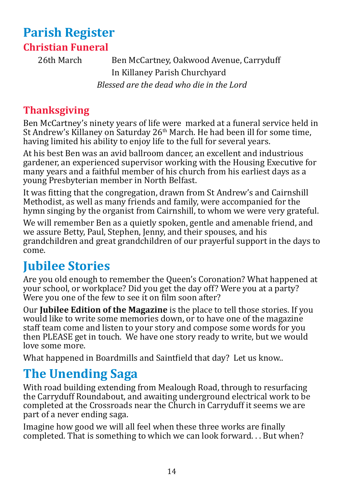# **Parish Register**

**Christian Funeral**

26th March Ben McCartney, Oakwood Avenue, Carryduff In Killaney Parish Churchyard *Blessed are the dead who die in the Lord*

## **Thanksgiving**

Ben McCartney's ninety years of life were marked at a funeral service held in St Andrew's Killaney on Saturday 26<sup>th</sup> March. He had been ill for some time, having limited his ability to enjoy life to the full for several years.

At his best Ben was an avid ballroom dancer, an excellent and industrious gardener, an experienced supervisor working with the Housing Executive for many years and a faithful member of his church from his earliest days as a young Presbyterian member in North Belfast.

It was �itting that the congregation, drawn from St Andrew's and Cairnshill Methodist, as well as many friends and family, were accompanied for the hymn singing by the organist from Cairnshill, to whom we were very grateful.

We will remember Ben as a quietly spoken, gentle and amenable friend, and we assure Betty, Paul, Stephen, Jenny, and their spouses, and his grandchildren and great grandchildren of our prayerful support in the days to come.

# <span id="page-13-0"></span>**Jubilee Stories**

Are you old enough to remember the Queen's Coronation? What happened at your school, or workplace? Did you get the day off? Were you at a party? Were you one of the few to see it on film soon after?

Our **Jubilee Edition of the Magazine** is the place to tell those stories. If you would like to write some memories down, or to have one of the magazine staff team come and listen to your story and compose some words for you then PLEASE get in touch. We have one story ready to write, but we would love some more.

What happened in Boardmills and Saintfield that day? Let us know..

# **The Unending Saga**

With road building extending from Mealough Road, through to resurfacing the Carryduff Roundabout, and awaiting underground electrical work to be completed at the Crossroads near the Church in Carryduff it seems we are part of a never ending saga.

Imagine how good we will all feel when these three works are finally completed. That is something to which we can look forward. . . But when?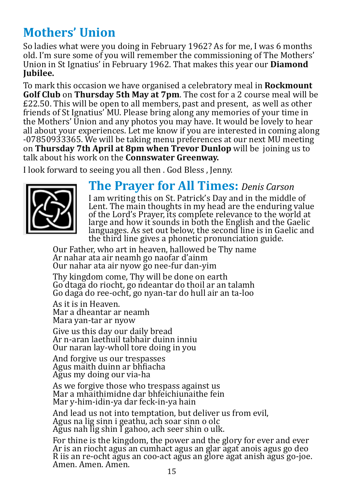# <span id="page-14-1"></span>**Mothers' Union**

So ladies what were you doing in February 1962? As for me, I was 6 months old. I'm sure some of you will remember the commissioning of The Mothers' Union in St Ignatius' in February 1962. That makes this year our **Diamond Jubilee.**

To mark this occasion we have organised a celebratory meal in **Rockmount Golf Club** on **Thursday 5th May at 7pm**. The cost for a 2 course meal will be £22.50. This will be open to all members, past and present, as well as other friends of St Ignatius' MU. Please bring along any memories of your time in the Mothers' Union and any photos you may have. It would be lovely to hear all about your experiences. Let me know if you are interested in coming along -07850933365. We will be taking menu preferences at our next MU meeting on **Thursday 7th April at 8pm when Trevor Dunlop** will be joining us to talk about his work on the **Connswater Greenway.**

I look forward to seeing you all then . God Bless , Jenny.



## <span id="page-14-0"></span>**The Prayer for All Times:** *Denis Carson*

I am writing this on St. Patrick's Day and in the middle of Lent. The main thoughts in my head are the enduring value of the Lord's Prayer, its complete relevance to the world at large and how it sounds in both the English and the Gaelic languages. As set out below, the second line is in Gaelic and the third line gives a phonetic pronunciation guide.

Our Father, who art in heaven, hallowed be Thy name Ar nahar ata air neamh go naofar d'ainm Our nahar ata air nyow go nee-fur dan-yim

Thy kingdom come, Thy will be done on earth Go dtaga do riocht, go ndeantar do thoil ar an talamh Go daga do ree-ocht, go nyan-tar do hull air an ta-loo

As it is in Heaven. Mar a dheantar ar neamh Mara yan-tar ar nyow

Give us this day our daily bread Ar n-aran laethuil tabhair duinn inniu Our naran lay-wholl tore doing in you

And forgive us our trespasses Agus maith duinn ar bh�iacha Agus my doing our via-ha

As we forgive those who trespass against us Mar a mhaithimidne dar bhfeichiunaithe fein Mar y-him-idin-ya dar feck-in-ya hain

And lead us not into temptation, but deliver us from evil, Agus na lig sinn i geathu, ach soar sinn o olc Agus nah lig shin I gahoo, ach seer shin o ulk.

For thine is the kingdom, the power and the glory for ever and ever Ar is an riocht agus an cumhact agus an glar agat anois agus go deo R iis an re-ocht agus an coo-act agus an glore agat anish agus go-joe. Amen. Amen. Amen.